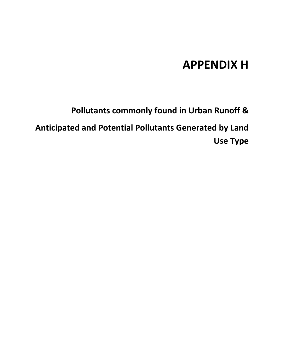## **APPENDIX H**

**Pollutants commonly found in Urban Runoff &**

**Anticipated and Potential Pollutants Generated by Land Use Type**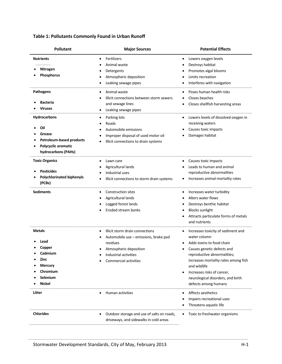## **Table 1: Pollutants Commonly Found in Urban Runoff**

| <b>Pollutant</b>                                                                                               | <b>Major Sources</b>                                                                                                                                                         | <b>Potential Effects</b>                                                                                                                                                                                                                                                                                          |  |  |  |
|----------------------------------------------------------------------------------------------------------------|------------------------------------------------------------------------------------------------------------------------------------------------------------------------------|-------------------------------------------------------------------------------------------------------------------------------------------------------------------------------------------------------------------------------------------------------------------------------------------------------------------|--|--|--|
| <b>Nutrients</b><br>Nitrogen<br>Phosphorus                                                                     | Fertilizers<br>Animal waste<br>Detergents<br>Atmospheric deposition<br>Leaking sewage pipes                                                                                  | Lowers oxygen levels<br>٠<br>Destroys habitat<br>Promotes algal blooms<br>Limits recreation<br>Interferes with navigation                                                                                                                                                                                         |  |  |  |
| <b>Pathogens</b><br><b>Bacteria</b><br><b>Viruses</b>                                                          | Animal waste<br>Illicit connections between storm sewers<br>and sewage lines<br>Leaking sewage pipes                                                                         | Poses human health risks<br>Closes beaches<br>Closes shellfish harvesting areas                                                                                                                                                                                                                                   |  |  |  |
| Hydrocarbons<br>Oil<br>Grease<br><b>Petroleum-based products</b><br>Polycyclic aromatic<br>hydrocarbons (PAHs) | Parking lots<br>٠<br>Roads<br>Automobile emissions<br>Improper disposal of used motor oil<br>Illicit connections to drain systems                                            | Lowers levels of dissolved oxygen in<br>$\bullet$<br>receiving waters<br>Causes toxic impacts<br>Damages habitat                                                                                                                                                                                                  |  |  |  |
| <b>Toxic Organics</b><br><b>Pesticides</b><br><b>Polychlorinated biphenyls</b><br>(PCBs)                       | Lawn care<br>Agricultural lands<br>Industrial uses<br>Illicit connections to storm drain systems                                                                             | Causes toxic impacts<br>٠<br>Leads to human and animal<br>reproductive abnormalities<br>Increases animal mortality rates                                                                                                                                                                                          |  |  |  |
| <b>Sediments</b>                                                                                               | <b>Construction sites</b><br>٠<br>Agricultural lands<br>Logged forest lands<br>Eroded stream banks                                                                           | Increases water turbidity<br>٠<br>Alters water flows<br>Destroys benthic habitat<br>٠<br><b>Blocks sunlight</b><br>٠<br>Attracts particulate forms of metals<br>٠<br>and nutrients                                                                                                                                |  |  |  |
| <b>Metals</b><br>Lead<br>Copper<br>Cadmium<br>Zinc<br><b>Mercury</b><br>Chromium<br>Selenium<br><b>Nickel</b>  | Illicit storm drain connections<br>٠<br>Automobile use - emissions, brake pad<br>residues<br>Atmospheric deposition<br>Industrial activities<br><b>Commercial activities</b> | Increases toxicity of sediment and<br>٠<br>water column<br>Adds toxins to food chain<br>Causes genetic defects and<br>reproductive abnormalities;<br>increases mortality rates among fish<br>and wildlife<br>Increases risks of cancer,<br>$\bullet$<br>neurological disorders, and birth<br>defects among humans |  |  |  |
| Litter                                                                                                         | <b>Human activities</b>                                                                                                                                                      | Affects aesthetics<br>٠<br>Impairs recreational uses<br>Threatens aquatic life                                                                                                                                                                                                                                    |  |  |  |
| <b>Chlorides</b>                                                                                               | Outdoor storage and use of salts on roads,<br>driveways, and sidewalks in cold areas                                                                                         | Toxic to freshwater organisms<br>٠                                                                                                                                                                                                                                                                                |  |  |  |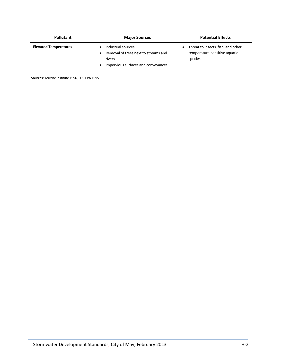| <b>Pollutant</b>             | <b>Major Sources</b>                                                                                        | <b>Potential Effects</b>                                                       |  |  |  |
|------------------------------|-------------------------------------------------------------------------------------------------------------|--------------------------------------------------------------------------------|--|--|--|
| <b>Elevated Temperatures</b> | Industrial sources<br>Removal of trees next to streams and<br>rivers<br>Impervious surfaces and conveyances | Threat to insects, fish, and other<br>temperature-sensitive aquatic<br>species |  |  |  |

**Sources:** Terrene Institute 1996, U.S. EPA 1995